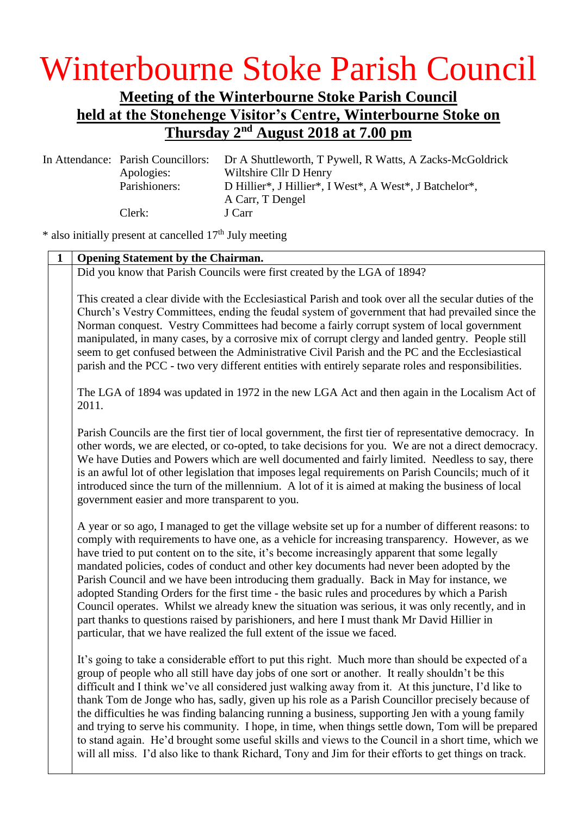## Winterbourne Stoke Parish Council

## **Meeting of the Winterbourne Stoke Parish Council held at the Stonehenge Visitor's Centre, Winterbourne Stoke on Thursday 2 nd August 2018 at 7.00 pm**

In Attendance: Parish Councillors: Dr A Shuttleworth, T Pywell, R Watts, A Zacks-McGoldrick Apologies: Wiltshire Cllr D Henry Parishioners: D Hillier\*, J Hillier\*, I West\*, A West\*, J Batchelor\*, A Carr, T Dengel Clerk: J Carr

 $*$  also initially present at cancelled  $17<sup>th</sup>$  July meeting

| $\mathbf{1}$ | <b>Opening Statement by the Chairman.</b>                                                                                                                                                                                                                                                                                                                                                                                                                                                                                                                                                                                                                                                                                                                                                                                                                                      |  |  |
|--------------|--------------------------------------------------------------------------------------------------------------------------------------------------------------------------------------------------------------------------------------------------------------------------------------------------------------------------------------------------------------------------------------------------------------------------------------------------------------------------------------------------------------------------------------------------------------------------------------------------------------------------------------------------------------------------------------------------------------------------------------------------------------------------------------------------------------------------------------------------------------------------------|--|--|
|              | Did you know that Parish Councils were first created by the LGA of 1894?                                                                                                                                                                                                                                                                                                                                                                                                                                                                                                                                                                                                                                                                                                                                                                                                       |  |  |
|              | This created a clear divide with the Ecclesiastical Parish and took over all the secular duties of the<br>Church's Vestry Committees, ending the feudal system of government that had prevailed since the<br>Norman conquest. Vestry Committees had become a fairly corrupt system of local government<br>manipulated, in many cases, by a corrosive mix of corrupt clergy and landed gentry. People still<br>seem to get confused between the Administrative Civil Parish and the PC and the Ecclesiastical<br>parish and the PCC - two very different entities with entirely separate roles and responsibilities.                                                                                                                                                                                                                                                            |  |  |
|              | The LGA of 1894 was updated in 1972 in the new LGA Act and then again in the Localism Act of<br>2011.                                                                                                                                                                                                                                                                                                                                                                                                                                                                                                                                                                                                                                                                                                                                                                          |  |  |
|              | Parish Councils are the first tier of local government, the first tier of representative democracy. In<br>other words, we are elected, or co-opted, to take decisions for you. We are not a direct democracy.<br>We have Duties and Powers which are well documented and fairly limited. Needless to say, there<br>is an awful lot of other legislation that imposes legal requirements on Parish Councils; much of it<br>introduced since the turn of the millennium. A lot of it is aimed at making the business of local<br>government easier and more transparent to you.                                                                                                                                                                                                                                                                                                  |  |  |
|              | A year or so ago, I managed to get the village website set up for a number of different reasons: to<br>comply with requirements to have one, as a vehicle for increasing transparency. However, as we<br>have tried to put content on to the site, it's become increasingly apparent that some legally<br>mandated policies, codes of conduct and other key documents had never been adopted by the<br>Parish Council and we have been introducing them gradually. Back in May for instance, we<br>adopted Standing Orders for the first time - the basic rules and procedures by which a Parish<br>Council operates. Whilst we already knew the situation was serious, it was only recently, and in<br>part thanks to questions raised by parishioners, and here I must thank Mr David Hillier in<br>particular, that we have realized the full extent of the issue we faced. |  |  |
|              | It's going to take a considerable effort to put this right. Much more than should be expected of a<br>group of people who all still have day jobs of one sort or another. It really shouldn't be this<br>difficult and I think we've all considered just walking away from it. At this juncture, I'd like to<br>thank Tom de Jonge who has, sadly, given up his role as a Parish Councillor precisely because of<br>the difficulties he was finding balancing running a business, supporting Jen with a young family<br>and trying to serve his community. I hope, in time, when things settle down, Tom will be prepared<br>to stand again. He'd brought some useful skills and views to the Council in a short time, which we<br>will all miss. I'd also like to thank Richard, Tony and Jim for their efforts to get things on track.                                       |  |  |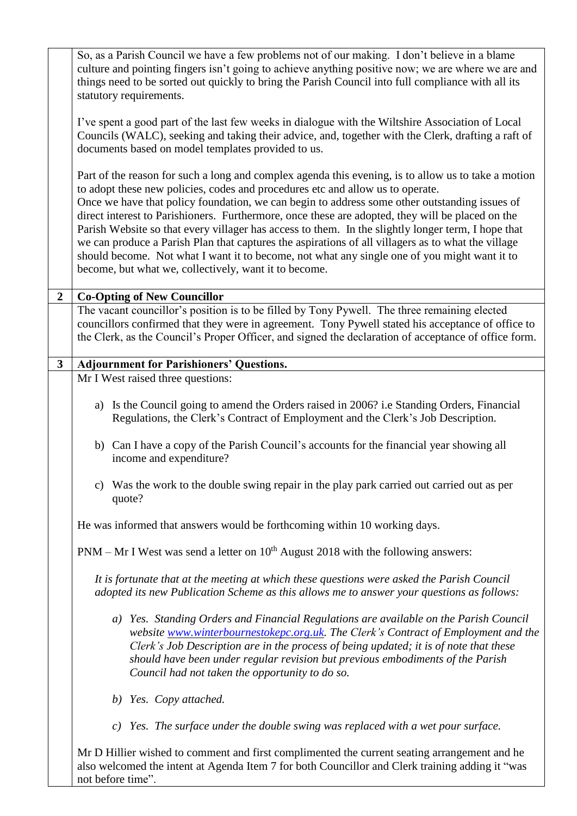|                | So, as a Parish Council we have a few problems not of our making. I don't believe in a blame<br>culture and pointing fingers isn't going to achieve anything positive now; we are where we are and<br>things need to be sorted out quickly to bring the Parish Council into full compliance with all its<br>statutory requirements.                                                                                                                                                                                                                                                                                                                                                                                                                             |  |  |  |
|----------------|-----------------------------------------------------------------------------------------------------------------------------------------------------------------------------------------------------------------------------------------------------------------------------------------------------------------------------------------------------------------------------------------------------------------------------------------------------------------------------------------------------------------------------------------------------------------------------------------------------------------------------------------------------------------------------------------------------------------------------------------------------------------|--|--|--|
|                | I've spent a good part of the last few weeks in dialogue with the Wiltshire Association of Local<br>Councils (WALC), seeking and taking their advice, and, together with the Clerk, drafting a raft of<br>documents based on model templates provided to us.                                                                                                                                                                                                                                                                                                                                                                                                                                                                                                    |  |  |  |
|                | Part of the reason for such a long and complex agenda this evening, is to allow us to take a motion<br>to adopt these new policies, codes and procedures etc and allow us to operate.<br>Once we have that policy foundation, we can begin to address some other outstanding issues of<br>direct interest to Parishioners. Furthermore, once these are adopted, they will be placed on the<br>Parish Website so that every villager has access to them. In the slightly longer term, I hope that<br>we can produce a Parish Plan that captures the aspirations of all villagers as to what the village<br>should become. Not what I want it to become, not what any single one of you might want it to<br>become, but what we, collectively, want it to become. |  |  |  |
| $\overline{2}$ | <b>Co-Opting of New Councillor</b>                                                                                                                                                                                                                                                                                                                                                                                                                                                                                                                                                                                                                                                                                                                              |  |  |  |
|                | The vacant councillor's position is to be filled by Tony Pywell. The three remaining elected<br>councillors confirmed that they were in agreement. Tony Pywell stated his acceptance of office to<br>the Clerk, as the Council's Proper Officer, and signed the declaration of acceptance of office form.                                                                                                                                                                                                                                                                                                                                                                                                                                                       |  |  |  |
| $\mathbf{3}$   | <b>Adjournment for Parishioners' Questions.</b>                                                                                                                                                                                                                                                                                                                                                                                                                                                                                                                                                                                                                                                                                                                 |  |  |  |
|                | Mr I West raised three questions:                                                                                                                                                                                                                                                                                                                                                                                                                                                                                                                                                                                                                                                                                                                               |  |  |  |
|                | a) Is the Council going to amend the Orders raised in 2006? i.e Standing Orders, Financial<br>Regulations, the Clerk's Contract of Employment and the Clerk's Job Description.                                                                                                                                                                                                                                                                                                                                                                                                                                                                                                                                                                                  |  |  |  |
|                | b) Can I have a copy of the Parish Council's accounts for the financial year showing all<br>income and expenditure?                                                                                                                                                                                                                                                                                                                                                                                                                                                                                                                                                                                                                                             |  |  |  |
|                | c) Was the work to the double swing repair in the play park carried out carried out as per<br>quote?                                                                                                                                                                                                                                                                                                                                                                                                                                                                                                                                                                                                                                                            |  |  |  |
|                | He was informed that answers would be forthcoming within 10 working days.                                                                                                                                                                                                                                                                                                                                                                                                                                                                                                                                                                                                                                                                                       |  |  |  |
|                | $PNM - Mr I West was send a letter on 10th August 2018 with the following answers:$                                                                                                                                                                                                                                                                                                                                                                                                                                                                                                                                                                                                                                                                             |  |  |  |
|                | It is fortunate that at the meeting at which these questions were asked the Parish Council<br>adopted its new Publication Scheme as this allows me to answer your questions as follows:                                                                                                                                                                                                                                                                                                                                                                                                                                                                                                                                                                         |  |  |  |
|                | a) Yes. Standing Orders and Financial Regulations are available on the Parish Council<br>website www.winterbournestokepc.org.uk. The Clerk's Contract of Employment and the<br>Clerk's Job Description are in the process of being updated; it is of note that these<br>should have been under regular revision but previous embodiments of the Parish<br>Council had not taken the opportunity to do so.                                                                                                                                                                                                                                                                                                                                                       |  |  |  |
|                | b) Yes. Copy attached.                                                                                                                                                                                                                                                                                                                                                                                                                                                                                                                                                                                                                                                                                                                                          |  |  |  |
|                | Yes. The surface under the double swing was replaced with a wet pour surface.<br>c)                                                                                                                                                                                                                                                                                                                                                                                                                                                                                                                                                                                                                                                                             |  |  |  |
|                | Mr D Hillier wished to comment and first complimented the current seating arrangement and he<br>also welcomed the intent at Agenda Item 7 for both Councillor and Clerk training adding it "was                                                                                                                                                                                                                                                                                                                                                                                                                                                                                                                                                                 |  |  |  |

not before time".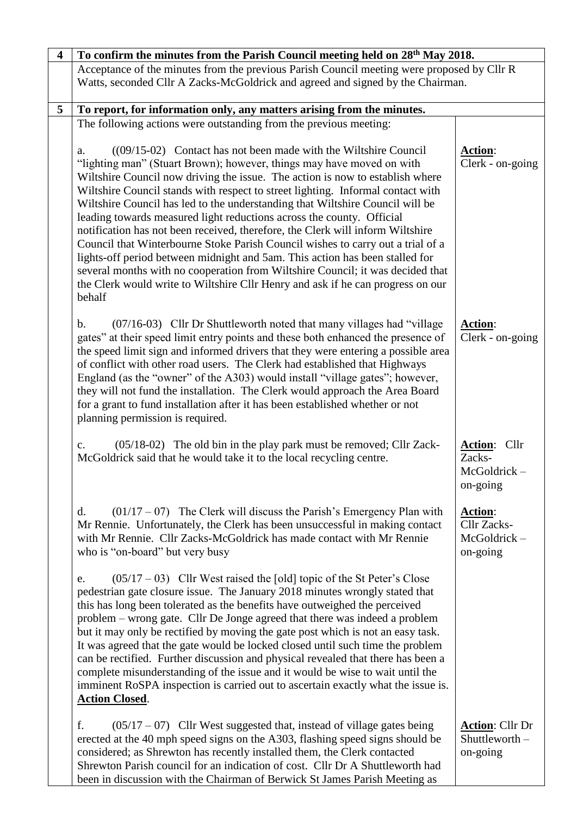| $\overline{\mathbf{4}}$ | To confirm the minutes from the Parish Council meeting held on 28 <sup>th</sup> May 2018.                                                                                                                                                                                                                                                                                                                                                                                                                                                                                                                                                                                                                                                                                                                                                                                                                           |                                                          |
|-------------------------|---------------------------------------------------------------------------------------------------------------------------------------------------------------------------------------------------------------------------------------------------------------------------------------------------------------------------------------------------------------------------------------------------------------------------------------------------------------------------------------------------------------------------------------------------------------------------------------------------------------------------------------------------------------------------------------------------------------------------------------------------------------------------------------------------------------------------------------------------------------------------------------------------------------------|----------------------------------------------------------|
|                         | Acceptance of the minutes from the previous Parish Council meeting were proposed by Cllr R<br>Watts, seconded Cllr A Zacks-McGoldrick and agreed and signed by the Chairman.                                                                                                                                                                                                                                                                                                                                                                                                                                                                                                                                                                                                                                                                                                                                        |                                                          |
| 5                       | To report, for information only, any matters arising from the minutes.                                                                                                                                                                                                                                                                                                                                                                                                                                                                                                                                                                                                                                                                                                                                                                                                                                              |                                                          |
|                         | The following actions were outstanding from the previous meeting:                                                                                                                                                                                                                                                                                                                                                                                                                                                                                                                                                                                                                                                                                                                                                                                                                                                   |                                                          |
|                         | $((09/15-02)$ Contact has not been made with the Wiltshire Council<br>a.<br>"lighting man" (Stuart Brown); however, things may have moved on with<br>Wiltshire Council now driving the issue. The action is now to establish where<br>Wiltshire Council stands with respect to street lighting. Informal contact with<br>Wiltshire Council has led to the understanding that Wiltshire Council will be<br>leading towards measured light reductions across the county. Official<br>notification has not been received, therefore, the Clerk will inform Wiltshire<br>Council that Winterbourne Stoke Parish Council wishes to carry out a trial of a<br>lights-off period between midnight and 5am. This action has been stalled for<br>several months with no cooperation from Wiltshire Council; it was decided that<br>the Clerk would write to Wiltshire Cllr Henry and ask if he can progress on our<br>behalf | Action:<br>Clerk - on-going                              |
|                         | (07/16-03) Cllr Dr Shuttleworth noted that many villages had "village<br>b.<br>gates" at their speed limit entry points and these both enhanced the presence of<br>the speed limit sign and informed drivers that they were entering a possible area<br>of conflict with other road users. The Clerk had established that Highways<br>England (as the "owner" of the A303) would install "village gates"; however,<br>they will not fund the installation. The Clerk would approach the Area Board<br>for a grant to fund installation after it has been established whether or not<br>planning permission is required.                                                                                                                                                                                                                                                                                             | <b>Action:</b><br>Clerk - on-going                       |
|                         | (05/18-02) The old bin in the play park must be removed; Cllr Zack-<br>$\mathbf{c}$ .<br>McGoldrick said that he would take it to the local recycling centre.                                                                                                                                                                                                                                                                                                                                                                                                                                                                                                                                                                                                                                                                                                                                                       | Action: Cllr<br>Zacks-<br>McGoldrick-<br>on-going        |
|                         | $(01/17 - 07)$ The Clerk will discuss the Parish's Emergency Plan with<br>d.<br>Mr Rennie. Unfortunately, the Clerk has been unsuccessful in making contact<br>with Mr Rennie. Cllr Zacks-McGoldrick has made contact with Mr Rennie<br>who is "on-board" but very busy                                                                                                                                                                                                                                                                                                                                                                                                                                                                                                                                                                                                                                             | <b>Action:</b><br>Cllr Zacks-<br>McGoldrick-<br>on-going |
|                         | $(05/17 - 03)$ Cllr West raised the [old] topic of the St Peter's Close<br>e.<br>pedestrian gate closure issue. The January 2018 minutes wrongly stated that<br>this has long been tolerated as the benefits have outweighed the perceived<br>problem – wrong gate. Cllr De Jonge agreed that there was indeed a problem<br>but it may only be rectified by moving the gate post which is not an easy task.<br>It was agreed that the gate would be locked closed until such time the problem<br>can be rectified. Further discussion and physical revealed that there has been a<br>complete misunderstanding of the issue and it would be wise to wait until the<br>imminent RoSPA inspection is carried out to ascertain exactly what the issue is.<br><b>Action Closed.</b>                                                                                                                                     |                                                          |
|                         | f.<br>$(05/17 - 07)$ Cllr West suggested that, instead of village gates being<br>erected at the 40 mph speed signs on the A303, flashing speed signs should be<br>considered; as Shrewton has recently installed them, the Clerk contacted<br>Shrewton Parish council for an indication of cost. Cllr Dr A Shuttleworth had<br>been in discussion with the Chairman of Berwick St James Parish Meeting as                                                                                                                                                                                                                                                                                                                                                                                                                                                                                                           | <b>Action:</b> Cllr Dr<br>Shuttleworth -<br>on-going     |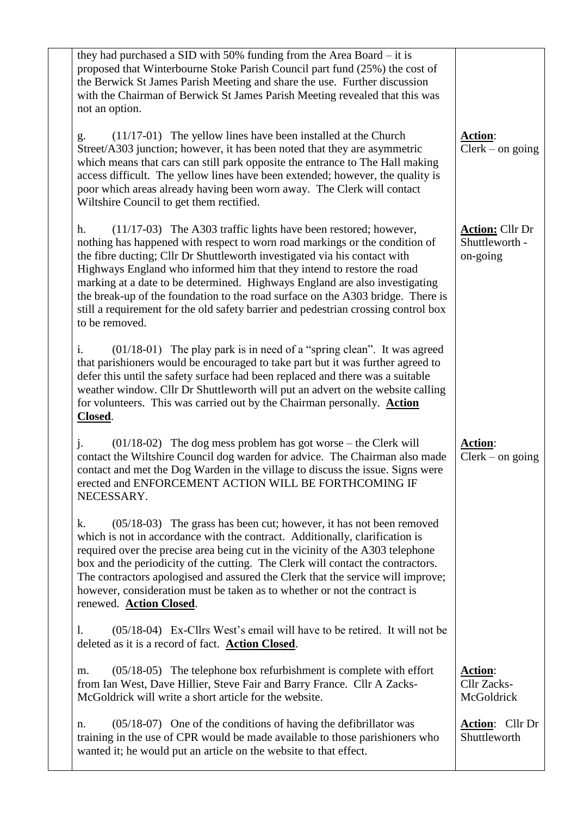| they had purchased a SID with 50% funding from the Area Board $-$ it is<br>proposed that Winterbourne Stoke Parish Council part fund (25%) the cost of<br>the Berwick St James Parish Meeting and share the use. Further discussion<br>with the Chairman of Berwick St James Parish Meeting revealed that this was<br>not an option.                                                                                                                                                                                                                                                  |                                                      |
|---------------------------------------------------------------------------------------------------------------------------------------------------------------------------------------------------------------------------------------------------------------------------------------------------------------------------------------------------------------------------------------------------------------------------------------------------------------------------------------------------------------------------------------------------------------------------------------|------------------------------------------------------|
| $(11/17-01)$ The yellow lines have been installed at the Church<br>g.<br>Street/A303 junction; however, it has been noted that they are asymmetric<br>which means that cars can still park opposite the entrance to The Hall making<br>access difficult. The yellow lines have been extended; however, the quality is<br>poor which areas already having been worn away. The Clerk will contact<br>Wiltshire Council to get them rectified.                                                                                                                                           | Action:<br>$Clerk - on going$                        |
| (11/17-03) The A303 traffic lights have been restored; however,<br>h.<br>nothing has happened with respect to worn road markings or the condition of<br>the fibre ducting; Cllr Dr Shuttleworth investigated via his contact with<br>Highways England who informed him that they intend to restore the road<br>marking at a date to be determined. Highways England are also investigating<br>the break-up of the foundation to the road surface on the A303 bridge. There is<br>still a requirement for the old safety barrier and pedestrian crossing control box<br>to be removed. | <b>Action:</b> Cllr Dr<br>Shuttleworth -<br>on-going |
| (01/18-01) The play park is in need of a "spring clean". It was agreed<br>i.<br>that parishioners would be encouraged to take part but it was further agreed to<br>defer this until the safety surface had been replaced and there was a suitable<br>weather window. Cllr Dr Shuttleworth will put an advert on the website calling<br>for volunteers. This was carried out by the Chairman personally. Action<br>Closed.                                                                                                                                                             |                                                      |
| $\mathbf{i}$ .<br>$(01/18-02)$ The dog mess problem has got worse – the Clerk will<br>contact the Wiltshire Council dog warden for advice. The Chairman also made<br>contact and met the Dog Warden in the village to discuss the issue. Signs were<br>erected and ENFORCEMENT ACTION WILL BE FORTHCOMING IF<br>NECESSARY.                                                                                                                                                                                                                                                            | Action:<br>$Clerk - on going$                        |
| $(05/18-03)$ The grass has been cut; however, it has not been removed<br>k.<br>which is not in accordance with the contract. Additionally, clarification is<br>required over the precise area being cut in the vicinity of the A303 telephone<br>box and the periodicity of the cutting. The Clerk will contact the contractors.<br>The contractors apologised and assured the Clerk that the service will improve;<br>however, consideration must be taken as to whether or not the contract is<br>renewed. Action Closed.                                                           |                                                      |
| (05/18-04) Ex-Cllrs West's email will have to be retired. It will not be<br>1.<br>deleted as it is a record of fact. Action Closed.                                                                                                                                                                                                                                                                                                                                                                                                                                                   |                                                      |
| $(05/18-05)$ The telephone box refurbishment is complete with effort<br>m.<br>from Ian West, Dave Hillier, Steve Fair and Barry France. Cllr A Zacks-<br>McGoldrick will write a short article for the website.                                                                                                                                                                                                                                                                                                                                                                       | Action:<br>Cllr Zacks-<br>McGoldrick                 |
| $(05/18-07)$ One of the conditions of having the defibrillator was<br>n.<br>training in the use of CPR would be made available to those parishioners who<br>wanted it; he would put an article on the website to that effect.                                                                                                                                                                                                                                                                                                                                                         | Action: Cllr Dr<br>Shuttleworth                      |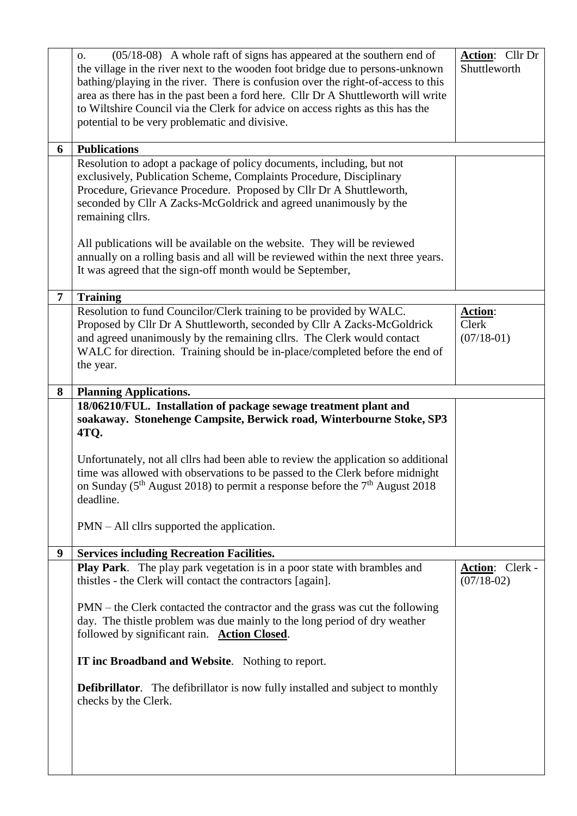|                | $(05/18-08)$ A whole raft of signs has appeared at the southern end of<br>0.<br>the village in the river next to the wooden foot bridge due to persons-unknown<br>bathing/playing in the river. There is confusion over the right-of-access to this<br>area as there has in the past been a ford here. Cllr Dr A Shuttleworth will write<br>to Wiltshire Council via the Clerk for advice on access rights as this has the<br>potential to be very problematic and divisive. | Action: Cllr Dr<br>Shuttleworth        |
|----------------|------------------------------------------------------------------------------------------------------------------------------------------------------------------------------------------------------------------------------------------------------------------------------------------------------------------------------------------------------------------------------------------------------------------------------------------------------------------------------|----------------------------------------|
| 6              | <b>Publications</b>                                                                                                                                                                                                                                                                                                                                                                                                                                                          |                                        |
|                | Resolution to adopt a package of policy documents, including, but not<br>exclusively, Publication Scheme, Complaints Procedure, Disciplinary<br>Procedure, Grievance Procedure. Proposed by Cllr Dr A Shuttleworth,<br>seconded by Cllr A Zacks-McGoldrick and agreed unanimously by the<br>remaining cllrs.                                                                                                                                                                 |                                        |
|                | All publications will be available on the website. They will be reviewed<br>annually on a rolling basis and all will be reviewed within the next three years.<br>It was agreed that the sign-off month would be September,                                                                                                                                                                                                                                                   |                                        |
| $\overline{7}$ | <b>Training</b>                                                                                                                                                                                                                                                                                                                                                                                                                                                              |                                        |
|                | Resolution to fund Councilor/Clerk training to be provided by WALC.<br>Proposed by Cllr Dr A Shuttleworth, seconded by Cllr A Zacks-McGoldrick<br>and agreed unanimously by the remaining cllrs. The Clerk would contact<br>WALC for direction. Training should be in-place/completed before the end of<br>the year.                                                                                                                                                         | Action:<br>Clerk<br>$(07/18-01)$       |
| 8              | <b>Planning Applications.</b>                                                                                                                                                                                                                                                                                                                                                                                                                                                |                                        |
|                | 18/06210/FUL. Installation of package sewage treatment plant and<br>soakaway. Stonehenge Campsite, Berwick road, Winterbourne Stoke, SP3<br>4TQ.                                                                                                                                                                                                                                                                                                                             |                                        |
|                | Unfortunately, not all cllrs had been able to review the application so additional<br>time was allowed with observations to be passed to the Clerk before midnight<br>on Sunday ( $5th$ August 2018) to permit a response before the $7th$ August 2018<br>deadline.                                                                                                                                                                                                          |                                        |
|                | $PMN - All$ cllrs supported the application.                                                                                                                                                                                                                                                                                                                                                                                                                                 |                                        |
| 9              | <b>Services including Recreation Facilities.</b>                                                                                                                                                                                                                                                                                                                                                                                                                             |                                        |
|                | Play Park. The play park vegetation is in a poor state with brambles and<br>thistles - the Clerk will contact the contractors [again].                                                                                                                                                                                                                                                                                                                                       | <b>Action:</b> Clerk -<br>$(07/18-02)$ |
|                | PMN – the Clerk contacted the contractor and the grass was cut the following<br>day. The thistle problem was due mainly to the long period of dry weather<br>followed by significant rain. Action Closed.                                                                                                                                                                                                                                                                    |                                        |
|                | IT inc Broadband and Website. Nothing to report.                                                                                                                                                                                                                                                                                                                                                                                                                             |                                        |
|                | <b>Defibrillator.</b> The defibrillator is now fully installed and subject to monthly<br>checks by the Clerk.                                                                                                                                                                                                                                                                                                                                                                |                                        |
|                |                                                                                                                                                                                                                                                                                                                                                                                                                                                                              |                                        |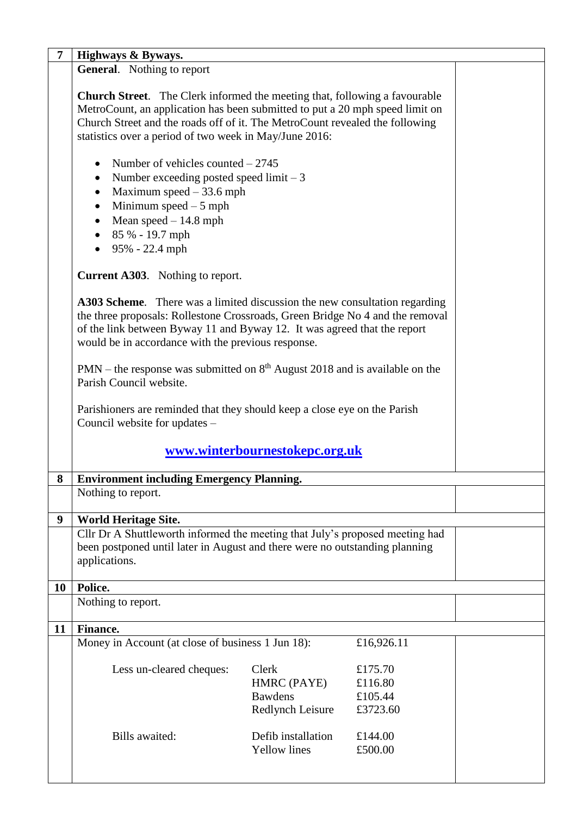| 7  | Highways & Byways.                                                                                                                                                                                                                                                                                          |                                                                   |                                           |  |
|----|-------------------------------------------------------------------------------------------------------------------------------------------------------------------------------------------------------------------------------------------------------------------------------------------------------------|-------------------------------------------------------------------|-------------------------------------------|--|
|    | <b>General.</b> Nothing to report                                                                                                                                                                                                                                                                           |                                                                   |                                           |  |
|    | <b>Church Street.</b> The Clerk informed the meeting that, following a favourable<br>MetroCount, an application has been submitted to put a 20 mph speed limit on<br>Church Street and the roads off of it. The MetroCount revealed the following<br>statistics over a period of two week in May/June 2016: |                                                                   |                                           |  |
|    | Number of vehicles counted $-2745$<br>$\bullet$<br>Number exceeding posted speed limit $-3$<br>$\bullet$<br>Maximum speed $-33.6$ mph<br>$\bullet$<br>Minimum speed $-5$ mph<br>$\bullet$<br>• Mean speed $-14.8$ mph<br>$\bullet$ 85 % - 19.7 mph<br>$\bullet$ 95% - 22.4 mph                              |                                                                   |                                           |  |
|    | <b>Current A303.</b> Nothing to report.                                                                                                                                                                                                                                                                     |                                                                   |                                           |  |
|    | A303 Scheme. There was a limited discussion the new consultation regarding<br>the three proposals: Rollestone Crossroads, Green Bridge No 4 and the removal<br>of the link between Byway 11 and Byway 12. It was agreed that the report<br>would be in accordance with the previous response.               |                                                                   |                                           |  |
|    | $PMN$ – the response was submitted on $8th$ August 2018 and is available on the<br>Parish Council website.                                                                                                                                                                                                  |                                                                   |                                           |  |
|    | Parishioners are reminded that they should keep a close eye on the Parish<br>Council website for updates -                                                                                                                                                                                                  |                                                                   |                                           |  |
|    |                                                                                                                                                                                                                                                                                                             | www.winterbournestokepc.org.uk                                    |                                           |  |
| 8  | <b>Environment including Emergency Planning.</b>                                                                                                                                                                                                                                                            |                                                                   |                                           |  |
|    | Nothing to report.                                                                                                                                                                                                                                                                                          |                                                                   |                                           |  |
| 9  | <b>World Heritage Site.</b>                                                                                                                                                                                                                                                                                 |                                                                   |                                           |  |
|    | Cllr Dr A Shuttleworth informed the meeting that July's proposed meeting had                                                                                                                                                                                                                                |                                                                   |                                           |  |
|    | been postponed until later in August and there were no outstanding planning<br>applications.                                                                                                                                                                                                                |                                                                   |                                           |  |
| 10 | Police.                                                                                                                                                                                                                                                                                                     |                                                                   |                                           |  |
|    | Nothing to report.                                                                                                                                                                                                                                                                                          |                                                                   |                                           |  |
| 11 | <b>Finance.</b>                                                                                                                                                                                                                                                                                             |                                                                   |                                           |  |
|    | Money in Account (at close of business 1 Jun 18):                                                                                                                                                                                                                                                           |                                                                   | £16,926.11                                |  |
|    | Less un-cleared cheques:                                                                                                                                                                                                                                                                                    | Clerk<br>HMRC (PAYE)<br><b>Bawdens</b><br><b>Redlynch Leisure</b> | £175.70<br>£116.80<br>£105.44<br>£3723.60 |  |
|    | Bills awaited:                                                                                                                                                                                                                                                                                              | Defib installation<br><b>Yellow</b> lines                         | £144.00<br>£500.00                        |  |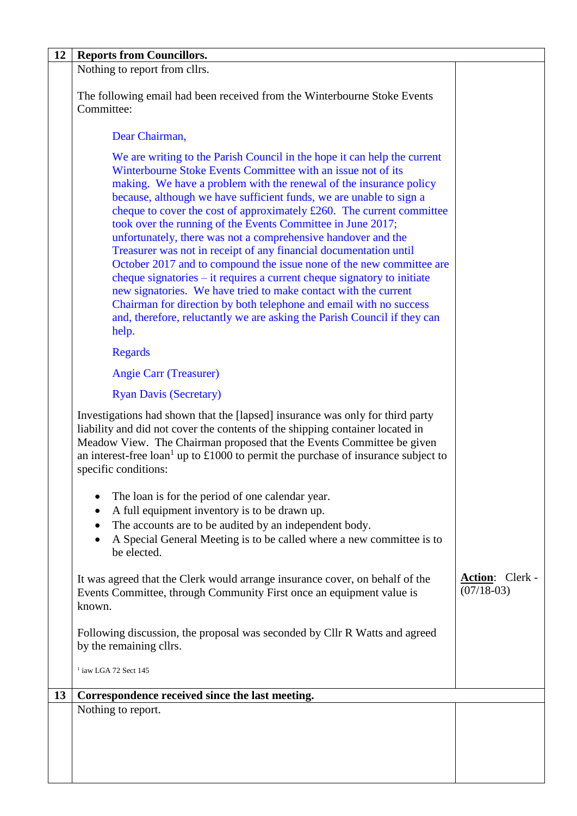| 12 | <b>Reports from Councillors.</b>                                                                                                                                                                                                                                                                                                                                                                                                                                                                                                                                                                                                                                                                                                                                                                                                                                                                                                                     |                                        |
|----|------------------------------------------------------------------------------------------------------------------------------------------------------------------------------------------------------------------------------------------------------------------------------------------------------------------------------------------------------------------------------------------------------------------------------------------------------------------------------------------------------------------------------------------------------------------------------------------------------------------------------------------------------------------------------------------------------------------------------------------------------------------------------------------------------------------------------------------------------------------------------------------------------------------------------------------------------|----------------------------------------|
|    | Nothing to report from cllrs.                                                                                                                                                                                                                                                                                                                                                                                                                                                                                                                                                                                                                                                                                                                                                                                                                                                                                                                        |                                        |
|    | The following email had been received from the Winterbourne Stoke Events<br>Committee:                                                                                                                                                                                                                                                                                                                                                                                                                                                                                                                                                                                                                                                                                                                                                                                                                                                               |                                        |
|    | Dear Chairman,                                                                                                                                                                                                                                                                                                                                                                                                                                                                                                                                                                                                                                                                                                                                                                                                                                                                                                                                       |                                        |
|    | We are writing to the Parish Council in the hope it can help the current<br>Winterbourne Stoke Events Committee with an issue not of its<br>making. We have a problem with the renewal of the insurance policy<br>because, although we have sufficient funds, we are unable to sign a<br>cheque to cover the cost of approximately £260. The current committee<br>took over the running of the Events Committee in June 2017;<br>unfortunately, there was not a comprehensive handover and the<br>Treasurer was not in receipt of any financial documentation until<br>October 2017 and to compound the issue none of the new committee are<br>cheque signatories – it requires a current cheque signatory to initiate<br>new signatories. We have tried to make contact with the current<br>Chairman for direction by both telephone and email with no success<br>and, therefore, reluctantly we are asking the Parish Council if they can<br>help. |                                        |
|    | <b>Regards</b>                                                                                                                                                                                                                                                                                                                                                                                                                                                                                                                                                                                                                                                                                                                                                                                                                                                                                                                                       |                                        |
|    | <b>Angie Carr (Treasurer)</b>                                                                                                                                                                                                                                                                                                                                                                                                                                                                                                                                                                                                                                                                                                                                                                                                                                                                                                                        |                                        |
|    | <b>Ryan Davis (Secretary)</b>                                                                                                                                                                                                                                                                                                                                                                                                                                                                                                                                                                                                                                                                                                                                                                                                                                                                                                                        |                                        |
|    | Investigations had shown that the [lapsed] insurance was only for third party<br>liability and did not cover the contents of the shipping container located in<br>Meadow View. The Chairman proposed that the Events Committee be given<br>an interest-free loan <sup>1</sup> up to $\pounds$ 1000 to permit the purchase of insurance subject to<br>specific conditions:                                                                                                                                                                                                                                                                                                                                                                                                                                                                                                                                                                            |                                        |
|    | The loan is for the period of one calendar year.<br>A full equipment inventory is to be drawn up.<br>٠<br>The accounts are to be audited by an independent body.<br>A Special General Meeting is to be called where a new committee is to<br>be elected.                                                                                                                                                                                                                                                                                                                                                                                                                                                                                                                                                                                                                                                                                             |                                        |
|    | It was agreed that the Clerk would arrange insurance cover, on behalf of the<br>Events Committee, through Community First once an equipment value is<br>known.                                                                                                                                                                                                                                                                                                                                                                                                                                                                                                                                                                                                                                                                                                                                                                                       | <b>Action:</b> Clerk -<br>$(07/18-03)$ |
|    | Following discussion, the proposal was seconded by Cllr R Watts and agreed<br>by the remaining cllrs.                                                                                                                                                                                                                                                                                                                                                                                                                                                                                                                                                                                                                                                                                                                                                                                                                                                |                                        |
|    | $1$ iaw LGA 72 Sect 145                                                                                                                                                                                                                                                                                                                                                                                                                                                                                                                                                                                                                                                                                                                                                                                                                                                                                                                              |                                        |
| 13 | Correspondence received since the last meeting.                                                                                                                                                                                                                                                                                                                                                                                                                                                                                                                                                                                                                                                                                                                                                                                                                                                                                                      |                                        |
|    | Nothing to report.                                                                                                                                                                                                                                                                                                                                                                                                                                                                                                                                                                                                                                                                                                                                                                                                                                                                                                                                   |                                        |
|    |                                                                                                                                                                                                                                                                                                                                                                                                                                                                                                                                                                                                                                                                                                                                                                                                                                                                                                                                                      |                                        |
|    |                                                                                                                                                                                                                                                                                                                                                                                                                                                                                                                                                                                                                                                                                                                                                                                                                                                                                                                                                      |                                        |
|    |                                                                                                                                                                                                                                                                                                                                                                                                                                                                                                                                                                                                                                                                                                                                                                                                                                                                                                                                                      |                                        |
|    |                                                                                                                                                                                                                                                                                                                                                                                                                                                                                                                                                                                                                                                                                                                                                                                                                                                                                                                                                      |                                        |
|    |                                                                                                                                                                                                                                                                                                                                                                                                                                                                                                                                                                                                                                                                                                                                                                                                                                                                                                                                                      |                                        |